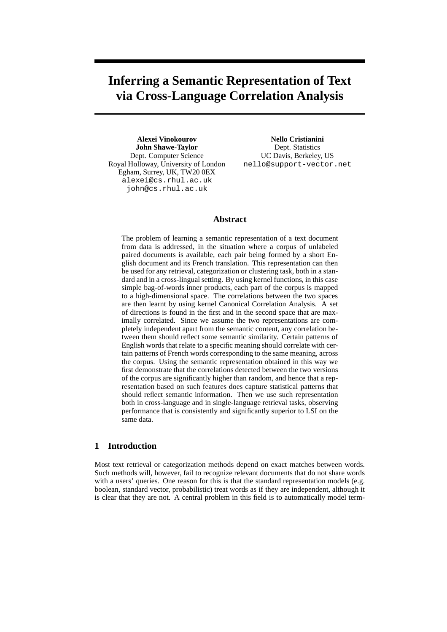# **Inferring a Semantic Representation of Text via Cross-Language Correlation Analysis**

**Alexei Vinokourov John Shawe-Taylor** Dept. Computer Science Royal Holloway, University of London Egham, Surrey, UK, TW20 0EX alexei@cs.rhul.ac.uk john@cs.rhul.ac.uk

**Nello Cristianini** Dept. Statistics UC Davis, Berkeley, US nello@support-vector.net

## **Abstract**

The problem of learning a semantic representation of a text document from data is addressed, in the situation where a corpus of unlabeled paired documents is available, each pair being formed by a short English document and its French translation. This representation can then be used for any retrieval, categorization or clustering task, both in a standard and in a cross-lingual setting. By using kernel functions, in this case simple bag-of-words inner products, each part of the corpus is mapped to a high-dimensional space. The correlations between the two spaces are then learnt by using kernel Canonical Correlation Analysis. A set of directions is found in the first and in the second space that are maximally correlated. Since we assume the two representations are completely independent apart from the semantic content, any correlation between them should reflect some semantic similarity. Certain patterns of English words that relate to a specific meaning should correlate with certain patterns of French words corresponding to the same meaning, across the corpus. Using the semantic representation obtained in this way we first demonstrate that the correlations detected between the two versions of the corpus are significantly higher than random, and hence that a representation based on such features does capture statistical patterns that should reflect semantic information. Then we use such representation both in cross-language and in single-language retrieval tasks, observing performance that is consistently and significantly superior to LSI on the same data.

### **1 Introduction**

Most text retrieval or categorization methods depend on exact matches between words. Such methods will, however, fail to recognize relevant documents that do not share words with a users' queries. One reason for this is that the standard representation models (e.g. boolean, standard vector, probabilistic) treat words as if they are independent, although it is clear that they are not. A central problem in this field is to automatically model term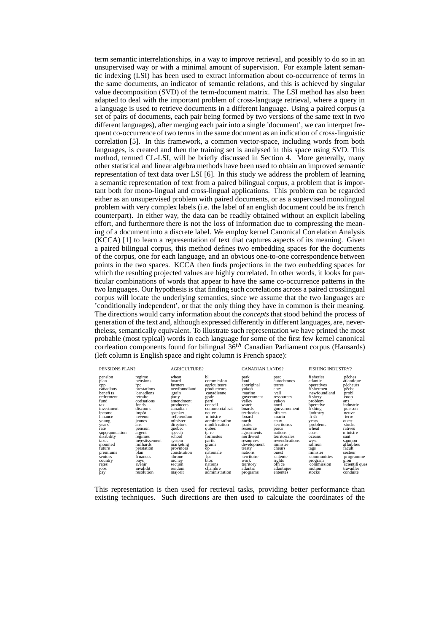term semantic interrelationships, in a way to improve retrieval, and possibly to do so in an unsupervised way or with a minimal amount of supervision. For example latent semantic indexing (LSI) has been used to extract information about co-occurrence of terms in the same documents, an indicator of semantic relations, and this is achieved by singular value decomposition (SVD) of the term-document matrix. The LSI method has also been adapted to deal with the important problem of cross-language retrieval, where a query in a language is used to retrieve documents in a different language. Using a paired corpus (a set of pairs of documents, each pair being formed by two versions of the same text in two different languages), after merging each pair into a single 'document', we can interpret frequent co-occurrence of two terms in the same document as an indication of cross-linguistic correlation [5]. In this framework, a common vector-space, including words from both languages, is created and then the training set is analysed in this space using SVD. This method, termed CL-LSI, will be briefly discussed in Section 4. More generally, many other statistical and linear algebra methods have been used to obtain an improved semantic representation of text data over LSI [6]. In this study we address the problem of learning a semantic representation of text from a paired bilingual corpus, a problem that is important both for mono-lingual and cross-lingual applications. This problem can be regarded either as an unsupervised problem with paired documents, or as a supervised monolingual problem with very complex labels (i.e. the label of an english document could be its french counterpart). In either way, the data can be readily obtained without an explicit labeling effort, and furthermore there is not the loss of information due to compressing the meaning of a document into a discrete label. We employ kernel Canonical Correlation Analysis (KCCA) [1] to learn a representation of text that captures aspects of its meaning. Given a paired bilingual corpus, this method defines two embedding spaces for the documents of the corpus, one for each language, and an obvious one-to-one correspondence between points in the two spaces. KCCA then finds projections in the two embedding spaces for which the resulting projected values are highly correlated. In other words, it looks for particular combinations of words that appear to have the same co-occurrence patterns in the two languages. Our hypothesis is that finding such correlations across a paired crosslingual corpus will locate the underlying semantics, since we assume that the two languages are 'conditionally independent', or that the only thing they have in common is their meaning. The directions would carry information about the *concepts* that stood behind the process of generation of the text and, although expressed differently in different languages, are, nevertheless, semantically equivalent. To illustrate such representation we have printed the most probable (most typical) words in each language for some of the first few kernel canonical corrleation components found for bilingual  $36<sup>th</sup>$  Canadian Parliament corpus (Hansards) (left column is English space and right column is French space):

| PENSIONS PLAN?                                                                                                                                                                                                                                                                                                   |                                                                                                                                    | <b>AGRICULTURE?</b>                                                                                                                                                                                                                   |                                                                                                                                                                                                                                            | <b>CANADIAN LANDS?</b>                                                                                                                                                                                                     |                                                                                                                                                                                                                               | <b>FISHING INDUSTRY?</b>                                                                                                                                                                                                                  |                                                                                                                                                                                                            |
|------------------------------------------------------------------------------------------------------------------------------------------------------------------------------------------------------------------------------------------------------------------------------------------------------------------|------------------------------------------------------------------------------------------------------------------------------------|---------------------------------------------------------------------------------------------------------------------------------------------------------------------------------------------------------------------------------------|--------------------------------------------------------------------------------------------------------------------------------------------------------------------------------------------------------------------------------------------|----------------------------------------------------------------------------------------------------------------------------------------------------------------------------------------------------------------------------|-------------------------------------------------------------------------------------------------------------------------------------------------------------------------------------------------------------------------------|-------------------------------------------------------------------------------------------------------------------------------------------------------------------------------------------------------------------------------------------|------------------------------------------------------------------------------------------------------------------------------------------------------------------------------------------------------------|
| pension<br>regime<br>plan<br>rpc<br>cpp<br>canadians<br>benefits<br>retraite<br>retirement<br>fund<br>fonds<br>tax<br>investment<br>impôt<br>income<br>fi nance<br>revenu<br>ieunes<br>young<br>years<br>ans<br>rate<br>superannuation<br>argent<br>disability<br>taxes<br>mounted<br>future<br>plan<br>premiums | pensions<br>prestations<br>canadiens<br>cotisations<br>discours<br>pension<br>regimes<br>investissement<br>milliards<br>prestation | wheat<br>board<br>farmers<br>newfoundland<br>grain<br>party<br>amendment<br>producers<br>canadian<br>speaker<br>referendum<br>minister<br>directors<br>quebec<br>speech<br>school<br>system<br>marketing<br>provinces<br>constitution | bl<br>commission<br>agriculteurs<br>producteurs<br>canadienne<br>grain<br>parti<br>conseil<br>commercialisat<br>neuve<br>ministre<br>administration<br>modifi cation<br>qubec<br>terre<br>formistes<br>partis<br>grains<br>op<br>nationale | park<br>Iand<br>aboriginal<br>vukon<br>marine<br>government<br>vallev<br>water<br>boards<br>territories<br>board<br>north<br>parks<br>resource<br>agreements<br>northwest<br>resources<br>development<br>treaty<br>nations | parc<br>autochtones<br>terres<br>ches<br>vall<br>ressources<br>vukon<br>nord<br>gouvernement<br>offices<br>marin<br>eaux<br>territoires<br>parcs<br>nations<br>territoriales<br>revendications<br>ministre<br>cheurs<br>ouest | fi sheries<br>atlantic<br>operatives<br>fi shermen<br>newfoundland<br>fi sherv<br>problem<br>operative<br>fi <sup>shing</sup><br>industry<br>fi sh<br>vears<br>problems<br>wheat<br>coast<br>oceans<br>west<br>salmon<br>tags<br>minister | pêches<br>atlantique<br>pêcheurs<br>pêche<br>probl<br>coop<br>ans<br>industrie<br>poisson<br>neuve<br>terre<br>ouest<br>stocks<br>ratives<br>ministre<br>sant<br>saumon<br>affaiblies<br>facult<br>secteur |
| seniors<br>country                                                                                                                                                                                                                                                                                               | fi nances                                                                                                                          | throne<br>money                                                                                                                                                                                                                       | lus<br>bloc                                                                                                                                                                                                                                | territoire<br>work                                                                                                                                                                                                         | entente<br>rights                                                                                                                                                                                                             | communities<br>program                                                                                                                                                                                                                    | programme<br>gion                                                                                                                                                                                          |
| pays<br>rates<br>avenir                                                                                                                                                                                                                                                                                          |                                                                                                                                    | section                                                                                                                                                                                                                               | nations                                                                                                                                                                                                                                    | territory                                                                                                                                                                                                                  | office                                                                                                                                                                                                                        | commission                                                                                                                                                                                                                                | scientifi ques                                                                                                                                                                                             |
| jobs                                                                                                                                                                                                                                                                                                             | invalidit                                                                                                                          | rendum                                                                                                                                                                                                                                | chambre                                                                                                                                                                                                                                    | atlantic                                                                                                                                                                                                                   | atlantique                                                                                                                                                                                                                    | motion                                                                                                                                                                                                                                    | travailler                                                                                                                                                                                                 |
| pay                                                                                                                                                                                                                                                                                                              | resolution                                                                                                                         | majorit                                                                                                                                                                                                                               | administration                                                                                                                                                                                                                             | programs                                                                                                                                                                                                                   | ententes                                                                                                                                                                                                                      | stocks                                                                                                                                                                                                                                    | conduite                                                                                                                                                                                                   |

This representation is then used for retrieval tasks, providing better performance than existing techniques. Such directions are then used to calculate the coordinates of the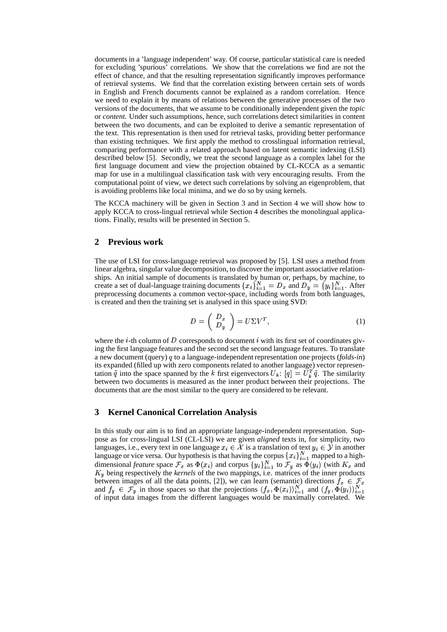documents in a 'language independent' way. Of course, particular statistical care is needed for excluding 'spurious' correlations. We show that the correlations we find are not the effect of chance, and that the resulting representation significantly improves performance of retrieval systems. We find that the correlation existing between certain sets of words in English and French documents cannot be explained as a random correlation. Hence we need to explain it by means of relations between the generative processes of the two versions of the documents, that we assume to be conditionally independent given the *topic* or *content*. Under such assumptions, hence, such correlations detect similarities in content between the two documents, and can be exploited to derive a semantic representation of the text. This representation is then used for retrieval tasks, providing better performance than existing techniques. We first apply the method to crosslingual information retrieval, comparing performance with a related approach based on latent semantic indexing (LSI) described below [5]. Secondly, we treat the second language as a complex label for the first language document and view the projection obtained by CL-KCCA as a semantic map for use in a multilingual classification task with very encouraging results. From the computational point of view, we detect such correlations by solving an eigenproblem, that is avoiding problems like local minima, and we do so by using kernels.

The KCCA machinery will be given in Section 3 and in Section 4 we will show how to apply KCCA to cross-lingual retrieval while Section 4 describes the monolingual applications. Finally, results will be presented in Section 5.

#### **2 Previous work**

The use of LSI for cross-language retrieval was proposed by [5]. LSI uses a method from linear algebra, singular value decomposition, to discover the important associative relationships. An initial sample of documents is translated by human or, perhaps, by machine, to create a set of dual-language training documents  $\{x_i\}_{i=1}^N = D_x$  and  $D_y = \{y_i\}_{i=1}^N$ . After preprocessing documents a common vector-space, including words from both languages, is created and then the training set is analysed in this space using SVD:

$$
D = \left(\begin{array}{c} D_x \\ D_y \end{array}\right) = U \Sigma V^T,\tag{1}
$$

where the *i*-th column of  $D$  corresponds to document  $i$  with its first set of coordinates giving the first language features and the second set the second language features. To translate a new document (query) q to a language-independent representation one projects (*folds-in*) its expanded (filled up with zero components related to another language) vector representation  $\tilde{q}$  into the space spanned by the k first eigenvectors  $U_k$ :  $[q] = U_k^T \tilde{q}$ . The similarity between two documents is measured as the inner product between their projections. The documents that are the most similar to the query are considered to be relevant.

#### **3 Kernel Canonical Correlation Analysis**

In this study our aim is to find an appropriate language-independent representation. Suppose as for cross-lingual LSI (CL-LSI) we are given *aligned* texts in, for simplicity, two languages, i.e., every text in one language  $x_i \in \mathcal{X}$  is a translation of text  $y_i \in \mathcal{Y}$  in another language or vice versa. Our hypothesis is that having the corpus  $\{x_i\}_{i=1}^N$  mapped to a highdimensional *feature* space  $\mathcal{F}_x$  as  $\Phi(x_i)$  and corpus  $\{y_i\}_{i=1}^N$  to  $\mathcal{F}_y$  as  $\Phi(y_i)$  (with  $K_x$  and A being respectively the *kernels* of the two mappings, i.e. matrices of the inner products between images of all the data points, [2]), we can learn (semantic) directions  $f_x \in \mathcal{F}_x$ and  $f_y \in \mathcal{F}_y$  in those spaces so that the projections  $(f_x, \Phi(x_i))_{i=1}^N$  and  $(f_y, \Phi(y_i))_{i=1}^N$ of input data images from the different languages would be maximally correlated. We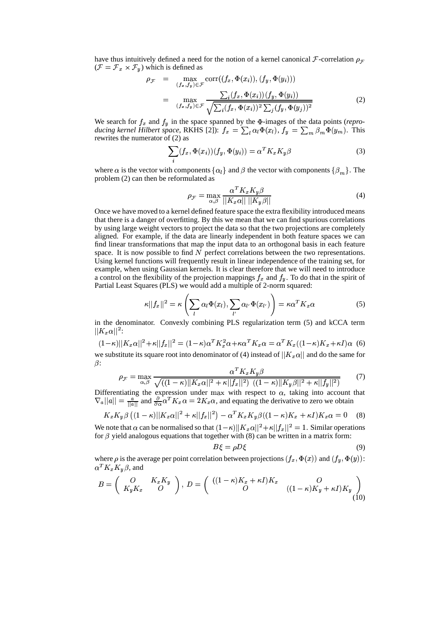have thus intuitively defined a need for the notion of a kernel canonical  $\mathcal{F}\text{-correlation } \rho_{\mathcal{F}}$  $(\mathcal{F} = \mathcal{F}_x \times \mathcal{F}_y)$  which is defined as

$$
\rho_{\mathcal{F}} = \max_{(f_x, f_y) \in \mathcal{F}} \text{corr}((f_x, \Phi(x_i)), (f_y, \Phi(y_i)))
$$
\n
$$
= \max_{(f_x, f_y) \in \mathcal{F}} \frac{\sum_i (f_x, \Phi(x_i))(f_y, \Phi(y_i))}{\sqrt{\sum_i (f_x, \Phi(x_i))^2 \sum_j (f_y, \Phi(y_j))^2}}
$$
\n(2)

We search for  $f_x$  and  $f_y$  in the space spanned by the  $\Phi$ -images of the data points (*reproducing kernel Hilbert space*, RKHS [2]):  $f_x = \sum_l \alpha_l \Phi(x_l)$ ,  $f_y = \sum_m \beta_m \Phi(y_m)$ . This rewrites the numerator of (2) as

$$
\sum_{i} (f_x, \Phi(x_i))(f_y, \Phi(y_i)) = \alpha^T K_x K_y \beta \tag{3}
$$

where  $\alpha$  is the vector with components  $\{\alpha_l\}$  and  $\beta$  the vector with components  $\{\beta_m\}$ . The problem (2) can then be reformulated as

$$
\rho_{\mathcal{F}} = \max_{\alpha,\beta} \frac{\alpha^T K_x K_y \beta}{||K_x \alpha|| \, ||K_y \beta||} \tag{4}
$$

Once we have moved to a kernel defined feature space the extra flexibility introduced means that there is a danger of overfitting. By this we mean that we can find spurious correlations by using large weight vectors to project the data so that the two projections are completely aligned. For example, if the data are linearly independent in both feature spaces we can find linear transformations that map the input data to an orthogonal basis in each feature space. It is now possible to find  $N$  perfect correlations between the two representations. Using kernel functions will frequently result in linear independence of the training set, for example, when using Gaussian kernels. It is clear therefore that we will need to introduce a control on the flexibility of the projection mappings  $f_x$  and  $f_y$ . To do that in the spirit of Partial Least Squares (PLS) we would add a multiple of 2-norm squared:

$$
\kappa||f_x||^2 = \kappa \left(\sum_l \alpha_l \Phi(x_l), \sum_{l'} \alpha_{l'} \Phi(x_{l'})\right) = \kappa \alpha^T K_x \alpha \tag{5}
$$

in the denominator. Convexly combining PLS regularization term (5) and kCCA term  $||K_x\alpha||^2$ :

$$
(1 - \kappa) ||K_x \alpha||^2 + \kappa ||f_x||^2 = (1 - \kappa) \alpha^T K_x^2 \alpha + \kappa \alpha^T K_x \alpha = \alpha^T K_x ((1 - \kappa) K_x + \kappa I) \alpha
$$
 (6)  
we substitute its square root into denominator of (4) instead of  $||K_x \alpha||$  and do the same for  
 $\beta$ :

$$
\rho_{\mathcal{F}} = \max_{\alpha,\beta} \frac{\alpha^T K_x K_y \beta}{\sqrt{\left( (1-\kappa) ||K_x \alpha||^2 + \kappa ||f_x||^2 \right) \left( (1-\kappa) ||K_y \beta||^2 + \kappa ||f_y||^2 \right)}} \tag{7}
$$

Differentiating the expression under max with respect to  $\alpha$ , taking into account that  $\nabla_{a}||a|| = \frac{a}{||a||}$  and  $\frac{\partial}{\partial \alpha} \alpha^{T} K_{x} \alpha = 2K_{x} \alpha$ , and equating the derivative to zero we obtain

$$
K_x K_y \beta \left( (1 - \kappa) ||K_x \alpha||^2 + \kappa ||f_x||^2 \right) - \alpha^T K_x K_y \beta \left( (1 - \kappa) K_x + \kappa I \right) K_x \alpha = 0 \tag{8}
$$

We note that  $\alpha$  can be normalised so that  $(1 - \kappa) ||K_x \alpha||^2 + \kappa ||f_x||^2 = 1$ . Similar operations for  $\beta$  yield analogous equations that together with (8) can be written in a matrix form:

$$
B\xi = \rho D\xi \tag{9}
$$

where  $\rho$  is the average per point correlation between projections  $(f_x, \Phi(x))$  and  $(f_y, \Phi(y))$ :  $\alpha^T K_x K_y \beta$ , and

$$
B = \begin{pmatrix} O & K_x K_y \\ K_y K_x & O \end{pmatrix}, D = \begin{pmatrix} ((1 - \kappa)K_x + \kappa I)K_x & O \\ O & ((1 - \kappa)K_y + \kappa I)K_y \end{pmatrix}
$$
(10)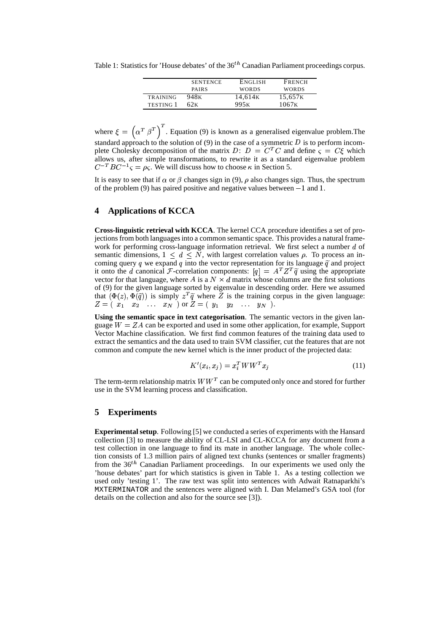Table 1: Statistics for 'House debates' of the  $36^{th}$  Canadian Parliament proceedings corpus.

|                  | <b>SENTENCE</b>  | <b>ENGLISH</b>      | FRENCH              |
|------------------|------------------|---------------------|---------------------|
|                  | <b>PAIRS</b>     | <b>WORDS</b>        | <b>WORDS</b>        |
| <b>TRAINING</b>  | 948 <sub>K</sub> | 14.614 <sub>K</sub> | 15,657 <sub>K</sub> |
| <b>TESTING 1</b> | 62 K             | 995 <sub>K</sub>    | 1067 <sub>K</sub>   |

where  $\xi = \left( \alpha^T \beta^T \right)^T$ . Equation (9) is known as a generalised eigenvalue problem. The standard approach to the solution of  $(9)$  in the case of a symmetric  $D$  is to perform incomplete Cholesky decomposition of the matrix D:  $D = C^T C$  and define  $\varsigma = C \xi$  which allows us, after simple transformations, to rewrite it as a standard eigenvalue problem  $C^{-T}BC^{-1}S = \rho_S$ . We will discuss how to choose  $\kappa$  in Section 5.

It is easy to see that if  $\alpha$  or  $\beta$  changes sign in (9),  $\rho$  also changes sign. Thus, the spectrum of the problem (9) has paired positive and negative values between  $-1$  and 1.

## **4 Applications of KCCA**

**Cross-linguistic retrieval with KCCA**. The kernel CCA procedure identifies a set of projections from both languages into a common semantic space. This provides a natural framework for performing cross-language information retrieval. We first select a number  $d$  of semantic dimensions,  $1 \leq d \leq N$ , with largest correlation values  $\rho$ . To process an incoming query q we expand q into the vector representation for its language  $\tilde{q}$  and project it onto the d canonical F-correlation components:  $[q] = A^T Z^T \tilde{q}$  using the appropriate vector for that language, where A is a  $N \times d$  matrix whose columns are the first solutions of (9) for the given language sorted by eigenvalue in descending order. Here we assumed that  $(\Phi(z), \Phi(\tilde{q}))$  is simply  $z^T \tilde{q}$  where Z is the training corpus in the given language:  $Z = (x_1 \ x_2 \ \ldots \ x_N)$  or  $Z = (y_1 \ y_2 \ \ldots \ y_N).$ 

**Using the semantic space in text categorisation**. The semantic vectors in the given language  $W = ZA$  can be exported and used in some other application, for example, Support Vector Machine classification. We first find common features of the training data used to extract the semantics and the data used to train SVM classifier, cut the features that are not common and compute the new kernel which is the inner product of the projected data:

$$
K'(x_i, x_j) = x_i^T W W^T x_j \tag{11}
$$

The term-term relationship matrix  $WW^T$  can be computed only once and stored for further use in the SVM learning process and classification.

#### **5 Experiments**

**Experimental setup**. Following [5] we conducted a series of experiments with the Hansard collection [3] to measure the ability of CL-LSI and CL-KCCA for any document from a test collection in one language to find its mate in another language. The whole collection consists of 1.3 million pairs of aligned text chunks (sentences or smaller fragments) from the  $36<sup>th</sup>$  Canadian Parliament proceedings. In our experiments we used only the 'house debates' part for which statistics is given in Table 1. As a testing collection we used only 'testing 1'. The raw text was split into sentences with Adwait Ratnaparkhi's MXTERMINATOR and the sentences were aligned with I. Dan Melamed's GSA tool (for details on the collection and also for the source see [3]).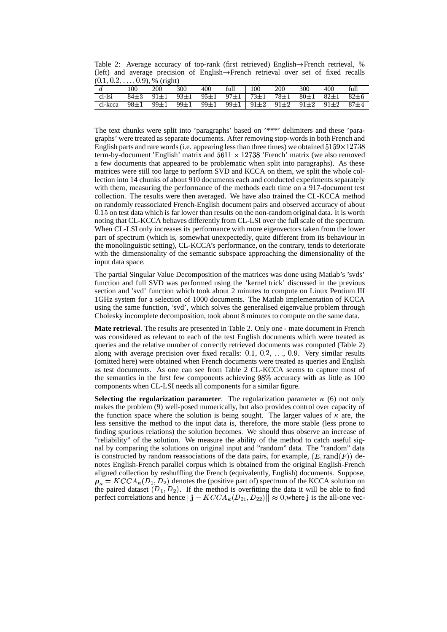Table 2: Average accuracy of top-rank (first retrieved) English $\rightarrow$ French retrieval, % (left) and average precision of English $\rightarrow$ French retrieval over set of fixed recalls  $(0.1, 0.2, ...$  $, 0.2, \ldots, 0.9$ ), % (right)

| 300<br>100<br>300<br><b>200</b><br>200<br>$\vert$ 100<br>full<br>400<br>full<br>400<br>84±3 91±1 93±1 95±1 97±1 73±1 78±1<br>cl-lsi<br>$80 \pm 1$ $82 \pm 1$ $82 \pm 6$ | $\ddotsc$ |  |  |  |  |  |
|-------------------------------------------------------------------------------------------------------------------------------------------------------------------------|-----------|--|--|--|--|--|
| cl-kcca 98±1 99±1 99±1 99±1 99±1   91±2 91±2 91±2 91±2 87±4                                                                                                             |           |  |  |  |  |  |
|                                                                                                                                                                         |           |  |  |  |  |  |
|                                                                                                                                                                         |           |  |  |  |  |  |

The text chunks were split into 'paragraphs' based on '\*\*\*' delimiters and these 'paragraphs' were treated as separate documents. After removing stop-words in both French and English parts and rare words (i.e. appearing less than three times) we obtained  $5159\times12738$ term-by-document 'English' matrix and  $5611 \times 12738$  'French' matrix (we also removed a few documents that appeared to be problematic when split into paragraphs). As these matrices were still too large to perform SVD and KCCA on them, we split the whole collection into 14 chunks of about 910 documents each and conducted experiments separately with them, measuring the performance of the methods each time on a 917-document test collection. The results were then averaged. We have also trained the CL-KCCA method on randomly reassociated French-English document pairs and observed accuracy of about 0.15 on test data which is far lower than results on the non-random original data. It is worth noting that CL-KCCA behaves differently from CL-LSI over the full scale of the spectrum. When CL-LSI only increases its performance with more eigenvectors taken from the lower part of spectrum (which is, somewhat unexpectedly, quite different from its behaviour in the monolinguistic setting), CL-KCCA's performance, on the contrary, tends to deteriorate with the dimensionality of the semantic subspace approaching the dimensionality of the input data space.

The partial Singular Value Decomposition of the matrices was done using Matlab's 'svds' function and full SVD was performed using the 'kernel trick' discussed in the previous section and 'svd' function which took about 2 minutes to compute on Linux Pentium III 1GHz system for a selection of 1000 documents. The Matlab implementation of KCCA using the same function, 'svd', which solves the generalised eigenvalue problem through Cholesky incomplete decomposition, took about 8 minutes to compute on the same data.

**Mate retrieval**. The results are presented in Table 2. Only one - mate document in French was considered as relevant to each of the test English documents which were treated as queries and the relative number of correctly retrieved documents was computed (Table 2) along with average precision over fixed recalls:  $0.1, 0.2, \ldots, 0.9$ . Very similar results (omitted here) were obtained when French documents were treated as queries and English as test documents. As one can see from Table 2 CL-KCCA seems to capture most of the semantics in the first few components achieving  $98\%$  accuracy with as little as 100 components when CL-LSI needs all components for a similar figure.

**Selecting the regularization parameter**. The regularization parameter  $\kappa$  (6) not only makes the problem (9) well-posed numerically, but also provides control over capacity of the function space where the solution is being sought. The larger values of  $\kappa$  are, the less sensitive the method to the input data is, therefore, the more stable (less prone to finding spurious relations) the solution becomes. We should thus observe an increase of "reliability" of the solution. We measure the ability of the method to catch useful signal by comparing the solutions on original input and "random" data. The "random" data is constructed by random reassociations of the data pairs, for example,  $(E, \text{rand}(F))$  denotes English-French parallel corpus which is obtained from the original English-French aligned collection by reshuffling the French (equivalently, English) documents. Suppose,  $\rho_{\kappa} = KCCA_{\kappa}(D_1, D_2)$  denotes the (positive part of) spectrum of the KCCA solution on the paired dataset  $(D_1, D_2)$ . If the method is overfitting the data it will be able to find perfect correlations and hence  $||\mathbf{j} - KCCA_{\kappa}(D_{21}, D_{22})|| \approx 0$ , where j is the all-one vec-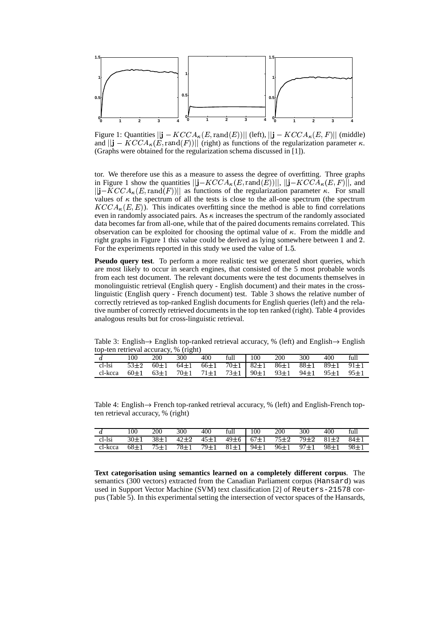

Figure 1: Quantities  $||\mathbf{j} - KCCA_{\kappa}(E, \text{rand}(E))||$  (left),  $||\mathbf{j} - KCCA_{\kappa}(E, F)||$  (middle) and  $\|\mathbf{j} - KCCA_{\kappa}(E, \text{rand}(F))\|$  (right) as functions of the regularization parameter  $\kappa$ . (Graphs were obtained for the regularization schema discussed in [1]).

tor. We therefore use this as a measure to assess the degree of overfitting. Three graphs in Figure 1 show the quantities  $||\mathbf{j}-KCCA_{\kappa}(E,\text{rand}(E))||, ||\mathbf{j}-KCCA_{\kappa}(E,F)||,$  and  $||\mathbf{j}-KCCA_{\kappa}(E,\text{rand}(F))||$  as functions of the regularization parameter  $\kappa$ . For small values of  $\kappa$  the spectrum of all the tests is close to the all-one spectrum (the spectrum  $KCCA_{\kappa}(E,E)$ . This indicates overfitting since the method is able to find correlations even in randomly associated pairs. As  $\kappa$  increases the spectrum of the randomly associated data becomes far from all-one, while that of the paired documents remains correlated. This observation can be exploited for choosing the optimal value of  $\kappa$ . From the middle and right graphs in Figure 1 this value could be derived as lying somewhere between 1 and 2. For the experiments reported in this study we used the value of 1.5.

**Pseudo query test**. To perform a more realistic test we generated short queries, which are most likely to occur in search engines, that consisted of the 5 most probable words from each test document. The relevant documents were the test documents themselves in monolinguistic retrieval (English query - English document) and their mates in the crosslinguistic (English query - French document) test. Table 3 shows the relative number of correctly retrieved as top-ranked English documents for English queries (left) and the relative number of correctly retrieved documents in the top ten ranked (right). Table 4 provides analogous results but for cross-linguistic retrieval.

Table 3: English  $\rightarrow$  English top-ranked retrieval accuracy, % (left) and English  $\rightarrow$  English top-ten retrieval accuracy, % (right)

|         | 100 | 200 | 300 | 400 | full                                                                                      | 100 | 200 | 300 | 400 | full   |
|---------|-----|-----|-----|-----|-------------------------------------------------------------------------------------------|-----|-----|-----|-----|--------|
| cl-lsi  |     |     |     |     | $53\pm2$ $60\pm1$ $64\pm1$ $66\pm1$ $70\pm1$ $82\pm1$ $86\pm1$ $88\pm1$ $89\pm1$ $91\pm1$ |     |     |     |     |        |
| cl-kcca |     |     |     |     | 60±1 63±1 70±1 71±1 73±1 90±1 93±1 94±1 95±1                                              |     |     |     |     | $95+1$ |

Table 4: English  $\rightarrow$  French top-ranked retrieval accuracy, % (left) and English-French topten retrieval accuracy, % (right)

|                                                                                                            |  | 100 200 300 400 full 100 200 300 400 full |  |  |  |  |
|------------------------------------------------------------------------------------------------------------|--|-------------------------------------------|--|--|--|--|
| cl-lsi $30\pm1$ $38\pm1$ $42\pm2$ $45\pm1$ $49\pm6$ $67\pm1$ $75\pm2$ $79\pm2$ $81\pm2$ $84\pm1$           |  |                                           |  |  |  |  |
| cl-kcca $68\pm1$ 75 $\pm1$ 78 $\pm1$ 79 $\pm1$ 81 $\pm1$ 94 $\pm1$ 96 $\pm1$ 97 $\pm1$ 98 $\pm1$ 98 $\pm1$ |  |                                           |  |  |  |  |

**Text categorisation using semantics learned on a completely different corpus**. The semantics (300 vectors) extracted from the Canadian Parliament corpus (Hansard) was used in Support Vector Machine (SVM) text classification [2] of Reuters-21578 corpus (Table 5). In this experimental setting the intersection of vector spaces of the Hansards,